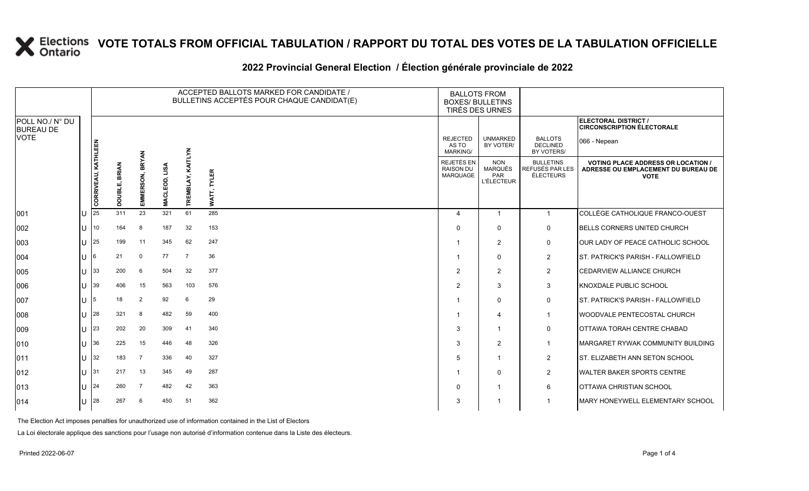#### **2022 Provincial General Election / Élection générale provinciale de 2022**

|                                     |              | ACCEPTED BALLOTS MARKED FOR CANDIDATE /<br>BULLETINS ACCEPTÉS POUR CHAQUE CANDIDAT(E) |                                    |                           |                          |                |                       | <b>BALLOTS FROM</b><br><b>BOXES/ BULLETINS</b><br>TIRÉS DES URNES |                                                          |                                                  |                                                                                                 |
|-------------------------------------|--------------|---------------------------------------------------------------------------------------|------------------------------------|---------------------------|--------------------------|----------------|-----------------------|-------------------------------------------------------------------|----------------------------------------------------------|--------------------------------------------------|-------------------------------------------------------------------------------------------------|
| POLL NO./ N° DU<br><b>BUREAU DE</b> |              |                                                                                       |                                    |                           |                          |                |                       |                                                                   |                                                          |                                                  | <b>ELECTORAL DISTRICT /</b><br><b>CIRCONSCRIPTION ÉLECTORALE</b>                                |
| <b>VOTE</b>                         |              | <b>KATHLEEN</b>                                                                       |                                    |                           |                          | <b>EXT</b>     |                       | <b>REJECTED</b><br>AS TO<br><b>MARKING/</b>                       | <b>UNMARKED</b><br>BY VOTER/                             | <b>BALLOTS</b><br><b>DECLINED</b><br>BY VOTERS/  | 066 - Nepean                                                                                    |
|                                     |              | CORRIVEAU,                                                                            | <b>BRIAN</b><br>щŗ<br><b>TRINO</b> | <b>BRYAN</b><br>EMMERSON, | as⊔<br>Ξ.<br><b>MACI</b> | ᄙ              | <b>TYLER</b><br>WATT, | REJETÉS EN<br><b>RAISON DU</b><br><b>MARQUAGE</b>                 | <b>NON</b><br><b>MARQUÉS</b><br>PAR<br><b>L'ÉLECTEUR</b> | <b>BULLETINS</b><br>REFUSÉS PAR LES<br>ÉLECTEURS | <b>VOTING PLACE ADDRESS OR LOCATION /</b><br>ADRESSE OU EMPLACEMENT DU BUREAU DE<br><b>VOTE</b> |
| 001                                 |              | 25                                                                                    | 311                                | 23                        | 321                      | 61             | 285                   | 4                                                                 | $\mathbf{1}$                                             | $\mathbf{1}$                                     | COLLÈGE CATHOLIQUE FRANCO-OUEST                                                                 |
| 002                                 | ПT           | 10                                                                                    | 164                                | 8                         | 187                      | 32             | 153                   | $\Omega$                                                          | $\Omega$                                                 | $\mathbf 0$                                      | <b>BELLS CORNERS UNITED CHURCH</b>                                                              |
| 003                                 | U            | 25                                                                                    | 199                                | 11                        | 345                      | 62             | 247                   | -1                                                                | 2                                                        | 0                                                | OUR LADY OF PEACE CATHOLIC SCHOOL                                                               |
| 004                                 | U            | I6                                                                                    | 21                                 | $\mathbf 0$               | 77                       | $\overline{7}$ | 36                    |                                                                   | $\Omega$                                                 | $\overline{2}$                                   | ST. PATRICK'S PARISH - FALLOWFIELD                                                              |
| 005                                 | Ш            | 33                                                                                    | 200                                | 6                         | 504                      | 32             | 377                   | $\overline{2}$                                                    | 2                                                        | $\overline{2}$                                   | CEDARVIEW ALLIANCE CHURCH                                                                       |
| 006                                 | ΠL           | 39                                                                                    | 406                                | 15                        | 563                      | 103            | 576                   | $\overline{2}$                                                    | 3                                                        | 3                                                | KNOXDALE PUBLIC SCHOOL                                                                          |
| 007                                 | U            | 15                                                                                    | 18                                 | $\overline{2}$            | 92                       | 6              | 29                    |                                                                   | $\Omega$                                                 | $\mathbf 0$                                      | <b>ST. PATRICK'S PARISH - FALLOWFIELD</b>                                                       |
| 008                                 | $U$ 28       |                                                                                       | 321                                | 8                         | 482                      | 59             | 400                   |                                                                   | 4                                                        | $\mathbf{1}$                                     | WOODVALE PENTECOSTAL CHURCH                                                                     |
| 009                                 | U            | 23                                                                                    | 202                                | 20                        | 309                      | 41             | 340                   | 3                                                                 | -1                                                       | $\mathbf 0$                                      | OTTAWA TORAH CENTRE CHABAD                                                                      |
| 010                                 | U            | 36                                                                                    | 225                                | 15                        | 446                      | 48             | 326                   | 3                                                                 | $\overline{2}$                                           | $\mathbf{1}$                                     | MARGARET RYWAK COMMUNITY BUILDING                                                               |
| 011                                 | $U$ 32       |                                                                                       | 183                                | $\overline{7}$            | 336                      | 40             | 327                   | 5                                                                 | -1                                                       | $\overline{2}$                                   | <b>ST. ELIZABETH ANN SETON SCHOOL</b>                                                           |
| 012                                 | lu           | 131                                                                                   | 217                                | 13                        | 345                      | 49             | 287                   | -1                                                                | $\Omega$                                                 | $\overline{2}$                                   | <b>WALTER BAKER SPORTS CENTRE</b>                                                               |
| 013                                 | $\mathbf{U}$ | 24                                                                                    | 260                                | $\overline{7}$            | 482                      | 42             | 363                   | 0                                                                 |                                                          | 6                                                | OTTAWA CHRISTIAN SCHOOL                                                                         |
| 014                                 | $U$ 28       |                                                                                       | 267                                | 6                         | 450                      | 51             | 362                   | 3                                                                 |                                                          | $\mathbf 1$                                      | MARY HONEYWELL ELEMENTARY SCHOOL                                                                |

The Election Act imposes penalties for unauthorized use of information contained in the List of Electors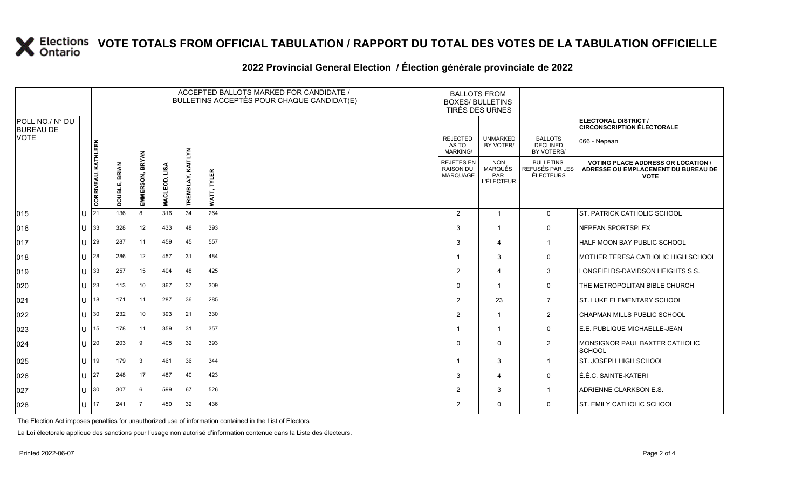#### **2022 Provincial General Election / Élection générale provinciale de 2022** ACCEPTED BALLOTS MARKED FOR CANDIDATE / BULLETINS ACCEPTÉS POUR CHAQUE CANDIDAT(E) BALLOTS FROM

|                                     |  |                     |                    |                        |            |                   | BULLETINS ACCEPTÉS POUR CHAQUE CANDIDAT(E) | <b>DALLUTS FRUIT</b><br><b>BOXES/ BULLETINS</b><br>TIRÉS DES URNES |                                                          |                                                  |                                                                                                 |
|-------------------------------------|--|---------------------|--------------------|------------------------|------------|-------------------|--------------------------------------------|--------------------------------------------------------------------|----------------------------------------------------------|--------------------------------------------------|-------------------------------------------------------------------------------------------------|
| POLL NO./ N° DU<br><b>BUREAU DE</b> |  |                     |                    |                        |            |                   |                                            |                                                                    |                                                          |                                                  | <b>ELECTORAL DISTRICT /</b><br><b>CIRCONSCRIPTION ÉLECTORALE</b>                                |
| <b>VOTE</b>                         |  |                     |                    |                        |            |                   |                                            | <b>REJECTED</b><br>AS TO<br><b>MARKING/</b>                        | <b>UNMARKED</b><br>BY VOTER/                             | <b>BALLOTS</b><br><b>DECLINED</b><br>BY VOTERS/  | 066 - Nepean                                                                                    |
|                                     |  | CORRIVEAU, KATHLEEN | <b>BRIAN</b><br>யி | <b>BRYAN</b><br>ERSON, | LISA<br>S. | TREMBLAY, KAITLYN | <b>TYLER</b>                               | REJETÉS EN<br><b>RAISON DU</b><br>MARQUAGE                         | <b>NON</b><br><b>MARQUÉS</b><br>PAR<br><b>L'ÉLECTEUR</b> | <b>BULLETINS</b><br>REFUSÉS PAR LES<br>ÉLECTEURS | <b>VOTING PLACE ADDRESS OR LOCATION /</b><br>ADRESSE OU EMPLACEMENT DU BUREAU DE<br><b>VOTE</b> |
|                                     |  |                     | Ω                  | EMMI                   | MACL       |                   | Τk                                         |                                                                    |                                                          |                                                  |                                                                                                 |
| 015                                 |  | <b>U</b> 21         | 136                | 8                      | 316        | 34                | 264                                        | $\overline{2}$                                                     | $\mathbf{1}$                                             | $\mathbf{0}$                                     | ST. PATRICK CATHOLIC SCHOOL                                                                     |
| 016                                 |  | $U$ 33              | 328                | 12                     | 433        | 48                | 393                                        | 3                                                                  | -1                                                       | 0                                                | <b>NEPEAN SPORTSPLEX</b>                                                                        |
| 017                                 |  | U $ 29 $            | 287                | 11                     | 459        | 45                | 557                                        | 3                                                                  | $\overline{\mathbf{4}}$                                  | $\overline{1}$                                   | <b>HALF MOON BAY PUBLIC SCHOOL</b>                                                              |
| 018                                 |  | $U$ 28              | 286                | 12                     | 457        | 31                | 484                                        | -1                                                                 | 3                                                        | 0                                                | MOTHER TERESA CATHOLIC HIGH SCHOOL                                                              |
| 019                                 |  | $U$ 33              | 257                | 15                     | 404        | 48                | 425                                        | 2                                                                  | $\overline{\mathbf{4}}$                                  | 3                                                | LONGFIELDS-DAVIDSON HEIGHTS S.S.                                                                |
| 020                                 |  | $U$ 23              | 113                | 10                     | 367        | 37                | 309                                        | $\Omega$                                                           | $\overline{1}$                                           | 0                                                | THE METROPOLITAN BIBLE CHURCH                                                                   |
| 021                                 |  | $\lfloor$   18      | 171                | 11                     | 287        | 36                | 285                                        | $\overline{2}$                                                     | 23                                                       | $\overline{7}$                                   | <b>IST. LUKE ELEMENTARY SCHOOL</b>                                                              |
| 022                                 |  | $U$ 30              | 232                | 10                     | 393        | 21                | 330                                        | $\overline{2}$                                                     | $\overline{1}$                                           | $\overline{2}$                                   | <b>CHAPMAN MILLS PUBLIC SCHOOL</b>                                                              |
| 023                                 |  | U $ 15$             | 178                | 11                     | 359        | 31                | 357                                        |                                                                    | $\overline{1}$                                           | 0                                                | É.É. PUBLIQUE MICHAËLLE-JEAN                                                                    |
| 024                                 |  | $U$ 20              | 203                | 9                      | 405        | 32                | 393                                        | 0                                                                  | $\mathbf{0}$                                             | $\overline{2}$                                   | MONSIGNOR PAUL BAXTER CATHOLIC<br>SCHOOL                                                        |
| 025                                 |  | U   19              | 179                | 3                      | 461        | 36                | 344                                        |                                                                    | 3                                                        | $\mathbf{1}$                                     | <b>IST. JOSEPH HIGH SCHOOL</b>                                                                  |
| 026                                 |  | $U$  27             | 248                | 17                     | 487        | 40                | 423                                        | 3                                                                  | $\overline{\mathbf{4}}$                                  | 0                                                | É.É.C. SAINTE-KATERI                                                                            |
| 027                                 |  | $U$ 30              | 307                | 6                      | 599        | 67                | 526                                        | $\overline{2}$                                                     | 3                                                        | $\overline{1}$                                   | ADRIENNE CLARKSON E.S.                                                                          |
| 028                                 |  | $U$ 17              | 241                | 7                      | 450        | 32                | 436                                        | 2                                                                  | $\mathbf{0}$                                             | 0                                                | <b>ST. EMILY CATHOLIC SCHOOL</b>                                                                |
|                                     |  |                     |                    |                        |            |                   |                                            |                                                                    |                                                          |                                                  |                                                                                                 |

The Election Act imposes penalties for unauthorized use of information contained in the List of Electors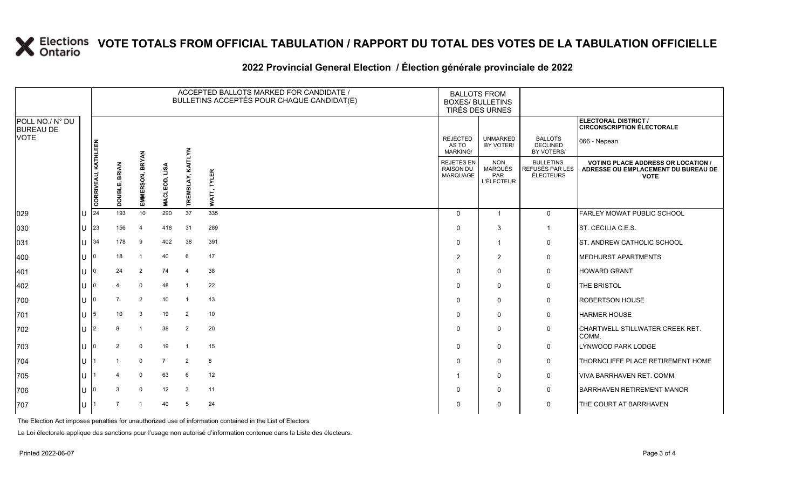#### **2022 Provincial General Election / Élection générale provinciale de 2022**

|                                     |      |                     |                |                 |                |                   | ACCEPTED BALLOTS MARKED FOR CANDIDATE /<br>BULLETINS ACCEPTÉS POUR CHAQUE CANDIDAT(E) | <b>BALLOTS FROM</b><br><b>BOXES/ BULLETINS</b><br>TIRÉS DES URNES |                                                          |                                                         |                                                                                                 |
|-------------------------------------|------|---------------------|----------------|-----------------|----------------|-------------------|---------------------------------------------------------------------------------------|-------------------------------------------------------------------|----------------------------------------------------------|---------------------------------------------------------|-------------------------------------------------------------------------------------------------|
| POLL NO./ N° DU<br><b>BUREAU DE</b> |      |                     |                |                 |                |                   |                                                                                       |                                                                   |                                                          |                                                         | ELECTORAL DISTRICT /<br><b>CIRCONSCRIPTION ÉLECTORALE</b>                                       |
| <b>VOTE</b>                         |      |                     |                |                 |                |                   |                                                                                       | <b>REJECTED</b><br>AS TO<br><b>MARKING/</b>                       | <b>UNMARKED</b><br>BY VOTER/                             | <b>BALLOTS</b><br>DECLINED<br>BY VOTERS/                | 066 - Nepean                                                                                    |
|                                     |      | CORRIVEAU, KATHLEEN | DOUBLE, BRIAN  | EMMERSON, BRYAN | MACLEOD, LISA  | TREMBLAY, KAITLYN | <b>TYLER</b><br>WATT,                                                                 | REJETÉS EN<br>RAISON DU<br><b>MARQUAGE</b>                        | <b>NON</b><br><b>MARQUÉS</b><br>PAR<br><b>L'ÉLECTEUR</b> | <b>BULLETINS</b><br>REFUSÉS PAR LES<br><b>ÉLECTEURS</b> | <b>VOTING PLACE ADDRESS OR LOCATION /</b><br>ADRESSE OU EMPLACEMENT DU BUREAU DE<br><b>VOTE</b> |
| 029                                 | IU.  | 24                  | 193            | 10              | 290            | 37                | 335                                                                                   | $\mathbf 0$                                                       | $\overline{1}$                                           | $\mathbf 0$                                             | FARLEY MOWAT PUBLIC SCHOOL                                                                      |
| 030                                 | IU.  | 23                  | 156            | $\overline{4}$  | 418            | 31                | 289                                                                                   | $\Omega$                                                          | 3                                                        | $\mathbf{1}$                                            | ST. CECILIA C.E.S.                                                                              |
| 031                                 | lu   | 34                  | 178            | 9               | 402            | 38                | 391                                                                                   | $\mathbf 0$                                                       | -1                                                       | $\mathbf 0$                                             | <b>ST. ANDREW CATHOLIC SCHOOL</b>                                                               |
| 400                                 | lul  | l0                  | 18             | $\overline{1}$  | 40             | 6                 | 17                                                                                    | 2                                                                 | $\overline{2}$                                           | $\mathbf 0$                                             | <b>MEDHURST APARTMENTS</b>                                                                      |
| 401                                 | lu-  | $\Omega$            | 24             | 2               | 74             | $\overline{4}$    | 38                                                                                    | $\mathbf 0$                                                       | $\Omega$                                                 | $\mathbf 0$                                             | <b>HOWARD GRANT</b>                                                                             |
| 402                                 | lθ   |                     |                | $\mathbf 0$     | 48             | $\overline{1}$    | 22                                                                                    | $\Omega$                                                          | $\Omega$                                                 | $\mathbf 0$                                             | THE BRISTOL                                                                                     |
| 700                                 | lu   | $\mathbf 0$         | $\overline{7}$ | $\overline{2}$  | 10             | $\overline{1}$    | 13                                                                                    | $\mathbf 0$                                                       | $\Omega$                                                 | $\mathbf 0$                                             | <b>ROBERTSON HOUSE</b>                                                                          |
| 701                                 | lu - | 5                   | 10             | 3               | 19             | 2                 | 10                                                                                    | $\Omega$                                                          | $\Omega$                                                 | $\mathbf 0$                                             | <b>HARMER HOUSE</b>                                                                             |
| 702                                 | lθ   | 2                   | 8              | $\overline{1}$  | 38             | 2                 | 20                                                                                    | $\Omega$                                                          | $\Omega$                                                 | $\mathbf 0$                                             | CHARTWELL STILLWATER CREEK RET.<br>COMM.                                                        |
| 703                                 | lU.  | 0                   | 2              | $\mathbf 0$     | 19             | $\overline{1}$    | 15                                                                                    | $\Omega$                                                          | $\Omega$                                                 | $\mathbf 0$                                             | LYNWOOD PARK LODGE                                                                              |
| 704                                 | lul  |                     |                | $\mathbf 0$     | $\overline{7}$ | $\overline{2}$    | 8                                                                                     | $\mathbf 0$                                                       | $\Omega$                                                 | $\mathbf 0$                                             | THORNCLIFFE PLACE RETIREMENT HOME                                                               |
| 705                                 | lu   |                     |                | $\mathbf 0$     | 63             | 6                 | 12                                                                                    |                                                                   | $\Omega$                                                 | $\mathbf 0$                                             | <b>VIVA BARRHAVEN RET. COMM.</b>                                                                |
| 706                                 | lU   | $\mathbf 0$         | 3              | $\mathbf 0$     | 12             | $\mathbf{3}$      | 11                                                                                    | $\Omega$                                                          | $\Omega$                                                 | $\mathbf 0$                                             | <b>BARRHAVEN RETIREMENT MANOR</b>                                                               |
| 707                                 | lU.  |                     | 7              | -1              | 40             | 5                 | 24                                                                                    | 0                                                                 | 0                                                        | $\mathbf 0$                                             | THE COURT AT BARRHAVEN                                                                          |

The Election Act imposes penalties for unauthorized use of information contained in the List of Electors